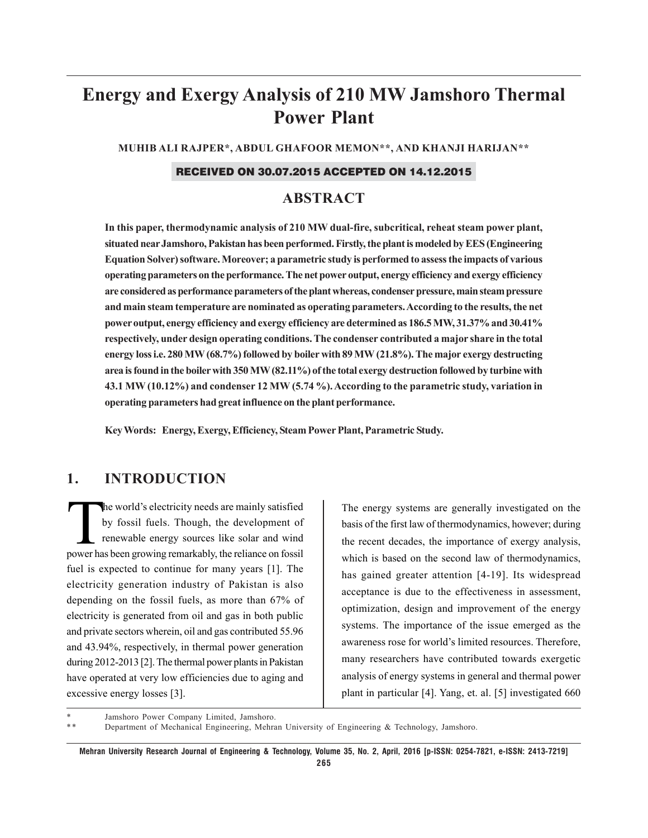# **Energy and Exergy Analysis of 210 MW Jamshoro Thermal Power Plant**

**MUHIB ALI RAJPER\*, ABDUL GHAFOOR MEMON\*\*, AND KHANJI HARIJAN\*\***

#### RECEIVED ON 30.07.2015 ACCEPTED ON 14.12.2015

## **ABSTRACT**

**In this paper, thermodynamic analysis of 210 MW dual-fire, subcritical, reheat steam power plant, situated near Jamshoro, Pakistan has been performed. Firstly, the plant is modeled by EES (Engineering Equation Solver) software. Moreover; a parametric study is performed to assess the impacts of various operating parameters on the performance. The net power output, energy efficiency and exergy efficiency are considered as performance parameters of the plant whereas, condenser pressure, main steam pressure and main steam temperature are nominated as operating parameters. According to the results, the net power output, energy efficiency and exergy efficiency are determined as 186.5 MW, 31.37% and 30.41% respectively, under design operating conditions. The condenser contributed a major share in the total energy loss i.e. 280 MW (68.7%) followed by boiler with 89 MW (21.8%). The major exergy destructing area is found in the boiler with 350 MW (82.11%) of the total exergy destruction followed by turbine with 43.1 MW (10.12%) and condenser 12 MW (5.74 %). According to the parametric study, variation in operating parameters had great influence on the plant performance.**

**Key Words: Energy, Exergy, Efficiency, Steam Power Plant, Parametric Study.**

## **1. INTRODUCTION**

The world's electricity needs are mainly satisfied<br>by fossil fuels. Though, the development of<br>renewable energy sources like solar and wind<br>nower has been growing remarkably, the reliance on fossil by fossil fuels. Though, the development of renewable energy sources like solar and wind power has been growing remarkably, the reliance on fossil fuel is expected to continue for many years [1]. The electricity generation industry of Pakistan is also depending on the fossil fuels, as more than 67% of electricity is generated from oil and gas in both public and private sectors wherein, oil and gas contributed 55.96 and 43.94%, respectively, in thermal power generation during 2012-2013 [2]. The thermal power plants in Pakistan have operated at very low efficiencies due to aging and excessive energy losses [3].

The energy systems are generally investigated on the basis of the first law of thermodynamics, however; during the recent decades, the importance of exergy analysis, which is based on the second law of thermodynamics, has gained greater attention [4-19]. Its widespread acceptance is due to the effectiveness in assessment, optimization, design and improvement of the energy systems. The importance of the issue emerged as the awareness rose for world's limited resources. Therefore, many researchers have contributed towards exergetic analysis of energy systems in general and thermal power plant in particular [4]. Yang, et. al. [5] investigated 660

Jamshoro Power Company Limited, Jamshoro.

\*\* Department of Mechanical Engineering, Mehran University of Engineering & Technology, Jamshoro.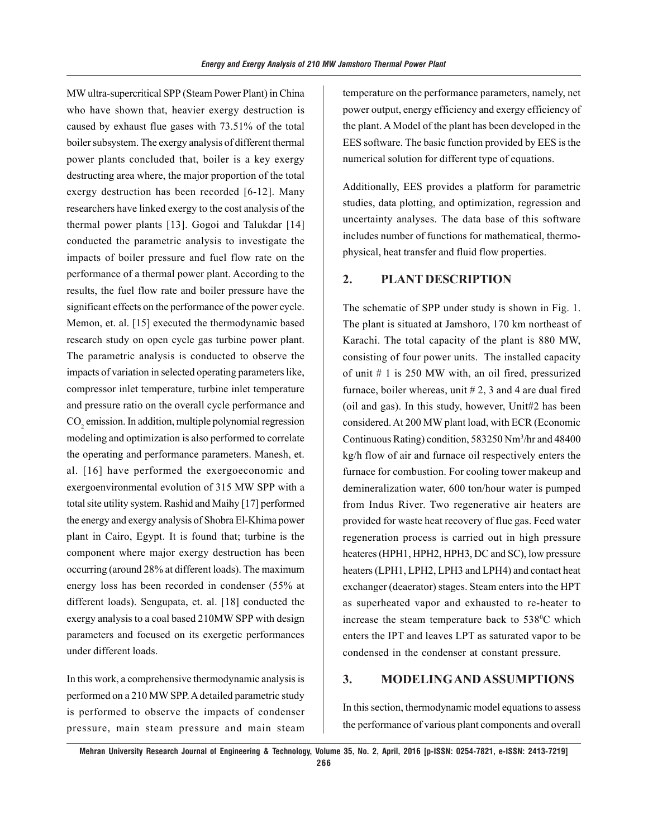MW ultra-supercritical SPP (Steam Power Plant) in China who have shown that, heavier exergy destruction is caused by exhaust flue gases with 73.51% of the total boiler subsystem. The exergy analysis of different thermal power plants concluded that, boiler is a key exergy destructing area where, the major proportion of the total exergy destruction has been recorded [6-12]. Many researchers have linked exergy to the cost analysis of the thermal power plants [13]. Gogoi and Talukdar [14] conducted the parametric analysis to investigate the impacts of boiler pressure and fuel flow rate on the performance of a thermal power plant. According to the results, the fuel flow rate and boiler pressure have the significant effects on the performance of the power cycle. Memon, et. al. [15] executed the thermodynamic based research study on open cycle gas turbine power plant. The parametric analysis is conducted to observe the impacts of variation in selected operating parameters like, compressor inlet temperature, turbine inlet temperature and pressure ratio on the overall cycle performance and  $\mathrm{CO}_2$  emission. In addition, multiple polynomial regression modeling and optimization is also performed to correlate the operating and performance parameters. Manesh, et. al. [16] have performed the exergoeconomic and exergoenvironmental evolution of 315 MW SPP with a total site utility system. Rashid and Maihy [17] performed the energy and exergy analysis of Shobra El-Khima power plant in Cairo, Egypt. It is found that; turbine is the component where major exergy destruction has been occurring (around 28% at different loads). The maximum energy loss has been recorded in condenser (55% at different loads). Sengupata, et. al. [18] conducted the exergy analysis to a coal based 210MW SPP with design parameters and focused on its exergetic performances under different loads.

In this work, a comprehensive thermodynamic analysis is performed on a 210 MW SPP. A detailed parametric study is performed to observe the impacts of condenser pressure, main steam pressure and main steam temperature on the performance parameters, namely, net power output, energy efficiency and exergy efficiency of the plant. A Model of the plant has been developed in the EES software. The basic function provided by EES is the numerical solution for different type of equations.

Additionally, EES provides a platform for parametric studies, data plotting, and optimization, regression and uncertainty analyses. The data base of this software includes number of functions for mathematical, thermophysical, heat transfer and fluid flow properties.

## **2. PLANT DESCRIPTION**

The schematic of SPP under study is shown in Fig. 1. The plant is situated at Jamshoro, 170 km northeast of Karachi. The total capacity of the plant is 880 MW, consisting of four power units. The installed capacity of unit # 1 is 250 MW with, an oil fired, pressurized furnace, boiler whereas, unit  $# 2$ , 3 and 4 are dual fired (oil and gas). In this study, however, Unit#2 has been considered. At 200 MW plant load, with ECR (Economic Continuous Rating) condition, 583250 Nm3 /hr and 48400 kg/h flow of air and furnace oil respectively enters the furnace for combustion. For cooling tower makeup and demineralization water, 600 ton/hour water is pumped from Indus River. Two regenerative air heaters are provided for waste heat recovery of flue gas. Feed water regeneration process is carried out in high pressure heateres (HPH1, HPH2, HPH3, DC and SC), low pressure heaters (LPH1, LPH2, LPH3 and LPH4) and contact heat exchanger (deaerator) stages. Steam enters into the HPT as superheated vapor and exhausted to re-heater to increase the steam temperature back to  $538^{\circ}$ C which enters the IPT and leaves LPT as saturated vapor to be condensed in the condenser at constant pressure.

#### **3. MODELING AND ASSUMPTIONS**

In this section, thermodynamic model equations to assess the performance of various plant components and overall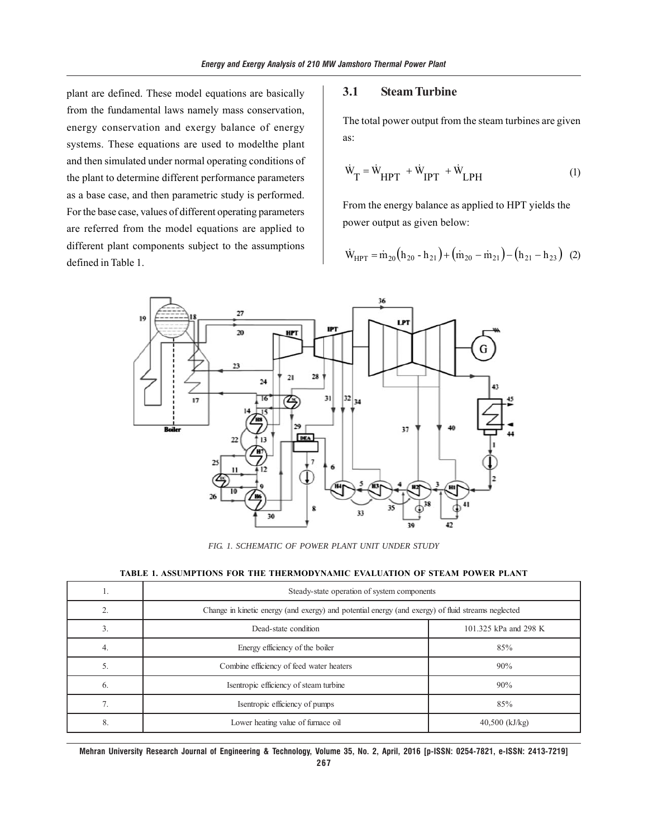plant are defined. These model equations are basically from the fundamental laws namely mass conservation, energy conservation and exergy balance of energy systems. These equations are used to modelthe plant and then simulated under normal operating conditions of the plant to determine different performance parameters as a base case, and then parametric study is performed. For the base case, values of different operating parameters are referred from the model equations are applied to different plant components subject to the assumptions defined in Table 1.

#### **3.1 Steam Turbine**

The total power output from the steam turbines are given as:

$$
\dot{W}_{T} = \dot{W}_{HPT} + \dot{W}_{IPT} + \dot{W}_{LPH} \tag{1}
$$

From the energy balance as applied to HPT yields the power output as given below:

$$
\dot{W}_{HPT} = \dot{m}_{20} (h_{20} - h_{21}) + (\dot{m}_{20} - \dot{m}_{21}) - (h_{21} - h_{23})
$$
 (2)



*FIG. 1. SCHEMATIC OF POWER PLANT UNIT UNDER STUDY*

| TABLE 1. ASSUMPTIONS FOR THE THERMODYNAMIC EVALUATION OF STEAM POWER PLANT |  |
|----------------------------------------------------------------------------|--|
|----------------------------------------------------------------------------|--|

| 1. | Steady-state operation of system components                                                        |                       |  |  |
|----|----------------------------------------------------------------------------------------------------|-----------------------|--|--|
|    | Change in kinetic energy (and exergy) and potential energy (and exergy) of fluid streams neglected |                       |  |  |
| 3. | Dead-state condition                                                                               | 101.325 kPa and 298 K |  |  |
| 4. | Energy efficiency of the boiler                                                                    | 85%                   |  |  |
| 5. | Combine efficiency of feed water heaters                                                           | 90%                   |  |  |
| 6. | Isentropic efficiency of steam turbine                                                             | 90%                   |  |  |
| 7. | Isentropic efficiency of pumps                                                                     | 85%                   |  |  |
| 8. | Lower heating value of furnace oil                                                                 | $40,500$ (kJ/kg)      |  |  |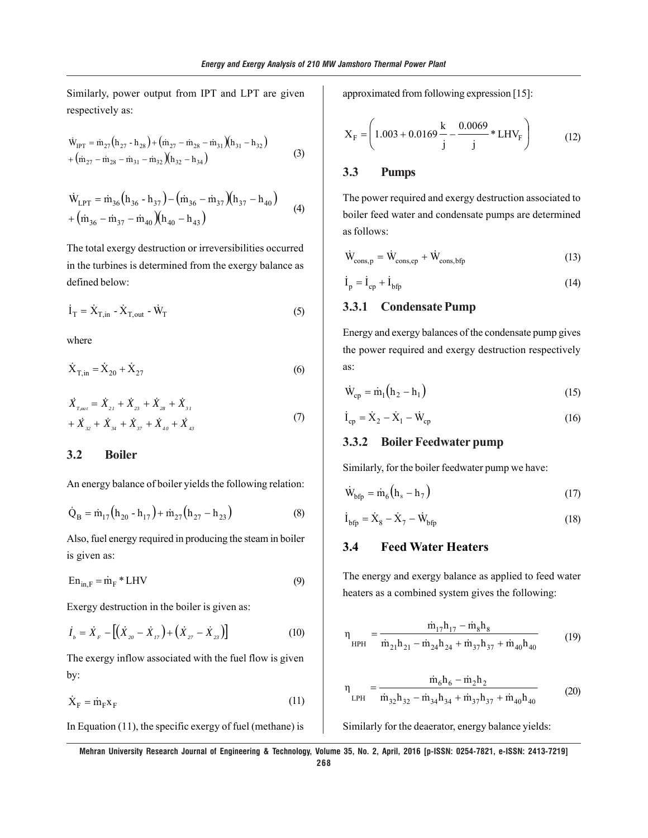Similarly, power output from IPT and LPT are given respectively as:

$$
\dot{W}_{IPT} = \dot{m}_{27} (h_{27} - h_{28}) + (\dot{m}_{27} - \dot{m}_{28} - \dot{m}_{31}) (h_{31} - h_{32}) + (\dot{m}_{27} - \dot{m}_{28} - \dot{m}_{31} - \dot{m}_{32}) (h_{32} - h_{34})
$$
\n(3)

$$
\dot{W}_{LPT} = \dot{m}_{36} (h_{36} - h_{37}) - (\dot{m}_{36} - \dot{m}_{37}) (h_{37} - h_{40}) + (\dot{m}_{36} - \dot{m}_{37} - \dot{m}_{40}) (h_{40} - h_{43})
$$
\n(4)

The total exergy destruction or irreversibilities occurred in the turbines is determined from the exergy balance as defined below:

$$
\dot{\mathbf{I}}_{\mathrm{T}} = \dot{\mathbf{X}}_{\mathrm{T,in}} - \dot{\mathbf{X}}_{\mathrm{T,out}} - \dot{\mathbf{W}}_{\mathrm{T}}
$$
 (5)

where

$$
\dot{X}_{T,in} = \dot{X}_{20} + \dot{X}_{27}
$$
 (6)

$$
\begin{aligned} \n\dot{X}_{T_{out}} &= \dot{X}_{21} + \dot{X}_{23} + \dot{X}_{28} + \dot{X}_{31} \\ \n&+ \dot{X}_{32} + \dot{X}_{34} + \dot{X}_{37} + \dot{X}_{40} + \dot{X}_{43} \n\end{aligned} \tag{7}
$$

## **3.2 Boiler**

An energy balance of boiler yields the following relation:

$$
\dot{Q}_{B} = \dot{m}_{17} (h_{20} - h_{17}) + \dot{m}_{27} (h_{27} - h_{23})
$$
 (8)

Also, fuel energy required in producing the steam in boiler is given as:

$$
En_{in, F} = \dot{m}_F * LHV
$$
\n(9)

Exergy destruction in the boiler is given as:

$$
\dot{I}_b = \dot{X}_F - [(\dot{X}_{20} - \dot{X}_{17}) + (\dot{X}_{27} - \dot{X}_{23})]
$$
(10)

The exergy inflow associated with the fuel flow is given by:

$$
\dot{\mathbf{X}}_{\mathrm{F}} = \dot{\mathbf{m}}_{\mathrm{F}} \mathbf{x}_{\mathrm{F}} \tag{11}
$$

In Equation (11), the specific exergy of fuel (methane) is

approximated from following expression [15]:

$$
X_F = \left(1.003 + 0.0169 \frac{k}{j} - \frac{0.0069}{j} * LHV_F\right)
$$
 (12)

## **3.3 Pumps**

The power required and exergy destruction associated to boiler feed water and condensate pumps are determined as follows:

$$
\dot{W}_{\text{cons,p}} = \dot{W}_{\text{cons,cp}} + \dot{W}_{\text{cons,bfp}} \tag{13}
$$

$$
\dot{\mathbf{I}}_{\text{p}} = \dot{\mathbf{I}}_{\text{cp}} + \dot{\mathbf{I}}_{\text{bfp}} \tag{14}
$$

#### **3.3.1 Condensate Pump**

Energy and exergy balances of the condensate pump gives the power required and exergy destruction respectively as:

$$
\dot{W}_{cp} = \dot{m}_1 \left( h_2 - h_1 \right) \tag{15}
$$

$$
\dot{\mathbf{I}}_{\rm cp} = \dot{\mathbf{X}}_2 - \dot{\mathbf{X}}_1 - \dot{\mathbf{W}}_{\rm cp} \tag{16}
$$

## **3.3.2 Boiler Feedwater pump**

Similarly, for the boiler feedwater pump we have:

$$
\dot{W}_{\text{bfp}} = \dot{m}_6 (h_s - h_7) \tag{17}
$$

$$
\dot{\mathbf{I}}_{\text{bfp}} = \dot{\mathbf{X}}_{8} - \dot{\mathbf{X}}_{7} - \dot{\mathbf{W}}_{\text{bfp}} \tag{18}
$$

#### **3.4 Feed Water Heaters**

The energy and exergy balance as applied to feed water heaters as a combined system gives the following:

$$
\eta_{\text{HPH}} = \frac{\dot{m}_{17}h_{17} - \dot{m}_{8}h_{8}}{\dot{m}_{21}h_{21} - \dot{m}_{24}h_{24} + \dot{m}_{37}h_{37} + \dot{m}_{40}h_{40}} \tag{19}
$$

$$
\eta_{\text{LPH}} = \frac{\dot{m}_6 h_6 - \dot{m}_2 h_2}{\dot{m}_{32} h_{32} - \dot{m}_{34} h_{34} + \dot{m}_{37} h_{37} + \dot{m}_{40} h_{40}} \tag{20}
$$

Similarly for the deaerator, energy balance yields: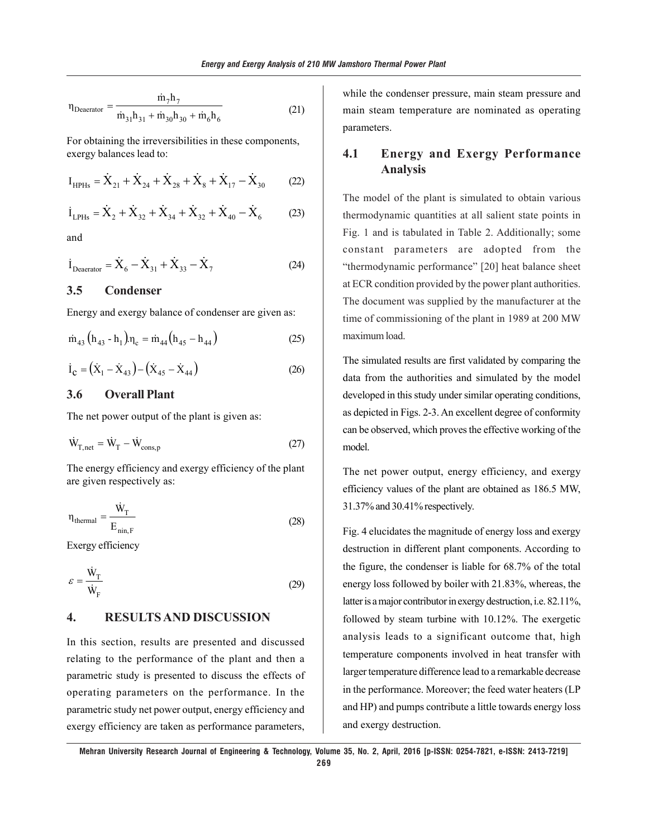$$
\eta_{\text{Deacrator}} = \frac{\dot{m}_7 h_7}{\dot{m}_{31} h_{31} + \dot{m}_{30} h_{30} + \dot{m}_6 h_6}
$$
(21)

For obtaining the irreversibilities in these components, exergy balances lead to:

$$
I_{HPHs} = \dot{X}_{21} + \dot{X}_{24} + \dot{X}_{28} + \dot{X}_{8} + \dot{X}_{17} - \dot{X}_{30}
$$
 (22)

$$
\dot{I}_{LPHs} = \dot{X}_2 + \dot{X}_{32} + \dot{X}_{34} + \dot{X}_{32} + \dot{X}_{40} - \dot{X}_6 \tag{23}
$$

and

$$
\dot{I}_{Deacrator} = \dot{X}_6 - \dot{X}_{31} + \dot{X}_{33} - \dot{X}_7
$$
 (24)

#### **3.5 Condenser**

Energy and exergy balance of condenser are given as:

$$
\dot{m}_{43} (h_{43} - h_1) \eta_c = \dot{m}_{44} (h_{45} - h_{44})
$$
 (25)

$$
\dot{\mathbf{I}}_{\mathbf{C}} = (\dot{\mathbf{X}}_1 - \dot{\mathbf{X}}_{43}) - (\dot{\mathbf{X}}_{45} - \dot{\mathbf{X}}_{44})
$$
 (26)

#### **3.6 Overall Plant**

The net power output of the plant is given as:

$$
\dot{W}_{T,net} = \dot{W}_T - \dot{W}_{cons,p} \tag{27}
$$

The energy efficiency and exergy efficiency of the plant are given respectively as:

$$
\eta_{\text{thermal}} = \frac{\dot{W}_{T}}{E_{\text{min,F}}} \tag{28}
$$

Exergy efficiency

$$
\varepsilon = \frac{\dot{W}_T}{\dot{W}_F} \tag{29}
$$

### **4. RESULTS AND DISCUSSION**

In this section, results are presented and discussed relating to the performance of the plant and then a parametric study is presented to discuss the effects of operating parameters on the performance. In the parametric study net power output, energy efficiency and exergy efficiency are taken as performance parameters, while the condenser pressure, main steam pressure and main steam temperature are nominated as operating parameters.

## **4.1 Energy and Exergy Performance Analysis**

The model of the plant is simulated to obtain various thermodynamic quantities at all salient state points in Fig. 1 and is tabulated in Table 2. Additionally; some constant parameters are adopted from the "thermodynamic performance" [20] heat balance sheet at ECR condition provided by the power plant authorities. The document was supplied by the manufacturer at the time of commissioning of the plant in 1989 at 200 MW maximum load.

The simulated results are first validated by comparing the data from the authorities and simulated by the model developed in this study under similar operating conditions, as depicted in Figs. 2-3. An excellent degree of conformity can be observed, which proves the effective working of the model.

The net power output, energy efficiency, and exergy efficiency values of the plant are obtained as 186.5 MW, 31.37% and 30.41% respectively.

Fig. 4 elucidates the magnitude of energy loss and exergy destruction in different plant components. According to the figure, the condenser is liable for 68.7% of the total energy loss followed by boiler with 21.83%, whereas, the latter is a major contributor in exergy destruction, i.e. 82.11%, followed by steam turbine with 10.12%. The exergetic analysis leads to a significant outcome that, high temperature components involved in heat transfer with larger temperature difference lead to a remarkable decrease in the performance. Moreover; the feed water heaters (LP and HP) and pumps contribute a little towards energy loss and exergy destruction.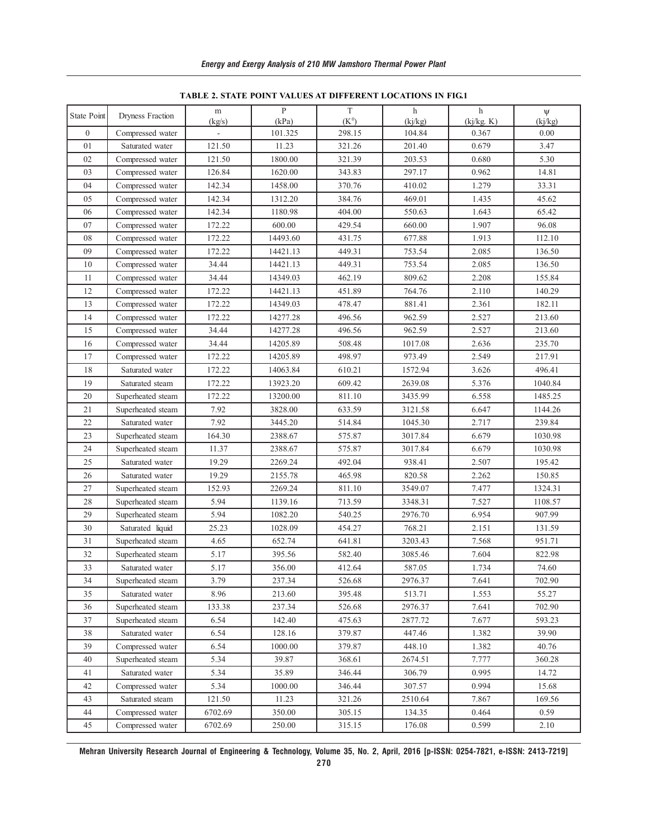| State Point  | Dryness Fraction  | $\, {\rm m}$<br>(kg/s) | $\mathbf{P}$<br>(kPa) | $\mathbf T$<br>$(K^0)$ | $\mathbf h$<br>(ki/kg) | h<br>(ki/kg. K) | Ψ<br>(ki/kg) |
|--------------|-------------------|------------------------|-----------------------|------------------------|------------------------|-----------------|--------------|
| $\mathbf{0}$ | Compressed water  |                        | 101.325               | 298.15                 | 104.84                 | 0.367           | 0.00         |
| $0\sqrt{1}$  | Saturated water   | 121.50                 | 11.23                 | 321.26                 | 201.40                 | 0.679           | 3.47         |
| 02           | Compressed water  | 121.50                 | 1800.00               | 321.39                 | 203.53                 | 0.680           | 5.30         |
| 03           | Compressed water  | 126.84                 | 1620.00               | 343.83                 | 297.17                 | 0.962           | 14.81        |
| 04           | Compressed water  | 142.34                 | 1458.00               | 370.76                 | 410.02                 | 1.279           | 33.31        |
| 05           | Compressed water  | 142.34                 | 1312.20               | 384.76                 | 469.01                 | 1.435           | 45.62        |
| 06           | Compressed water  | 142.34                 | 1180.98               | 404.00                 | 550.63                 | 1.643           | 65.42        |
| 07           | Compressed water  | 172.22                 | 600.00                | 429.54                 | 660.00                 | 1.907           | 96.08        |
| 08           | Compressed water  | 172.22                 | 14493.60              | 431.75                 | 677.88                 | 1.913           | 112.10       |
| 09           | Compressed water  | 172.22                 | 14421.13              | 449.31                 | 753.54                 | 2.085           | 136.50       |
| 10           | Compressed water  | 34.44                  | 14421.13              | 449.31                 | 753.54                 | 2.085           | 136.50       |
| 11           | Compressed water  | 34.44                  | 14349.03              | 462.19                 | 809.62                 | 2.208           | 155.84       |
| 12           | Compressed water  | 172.22                 | 14421.13              | 451.89                 | 764.76                 | 2.110           | 140.29       |
| 13           | Compressed water  | 172.22                 | 14349.03              | 478.47                 | 881.41                 | 2.361           | 182.11       |
| 14           | Compressed water  | 172.22                 | 14277.28              | 496.56                 | 962.59                 | 2.527           | 213.60       |
| 15           | Compressed water  | 34.44                  | 14277.28              | 496.56                 | 962.59                 | 2.527           | 213.60       |
| 16           | Compressed water  | 34.44                  | 14205.89              | 508.48                 | 1017.08                | 2.636           | 235.70       |
| 17           | Compressed water  | 172.22                 | 14205.89              | 498.97                 | 973.49                 | 2.549           | 217.91       |
| 18           | Saturated water   | 172.22                 | 14063.84              | 610.21                 | 1572.94                | 3.626           | 496.41       |
| 19           | Saturated steam   | 172.22                 | 13923.20              | 609.42                 | 2639.08                | 5.376           | 1040.84      |
| 20           | Superheated steam | 172.22                 | 13200.00              | 811.10                 | 3435.99                | 6.558           | 1485.25      |
| 21           | Superheated steam | 7.92                   | 3828.00               | 633.59                 | 3121.58                | 6.647           | 1144.26      |
| 22           | Saturated water   | 7.92                   | 3445.20               | 514.84                 | 1045.30                | 2.717           | 239.84       |
| 23           | Superheated steam | 164.30                 | 2388.67               | 575.87                 | 3017.84                | 6.679           | 1030.98      |
| 24           | Superheated steam | 11.37                  | 2388.67               | 575.87                 | 3017.84                | 6.679           | 1030.98      |
| 25           | Saturated water   | 19.29                  | 2269.24               | 492.04                 | 938.41                 | 2.507           | 195.42       |
| 26           | Saturated water   | 19.29                  | 2155.78               | 465.98                 | 820.58                 | 2.262           | 150.85       |
| 27           | Superheated steam | 152.93                 | 2269.24               | 811.10                 | 3549.07                | 7.477           | 1324.31      |
| 28           | Superheated steam | 5.94                   | 1139.16               | 713.59                 | 3348.31                | 7.527           | 1108.57      |
| 29           | Superheated steam | 5.94                   | 1082.20               | 540.25                 | 2976.70                | 6.954           | 907.99       |
| 30           | Saturated liquid  | 25.23                  | 1028.09               | 454.27                 | 768.21                 | 2.151           | 131.59       |
| 31           | Superheated steam | 4.65                   | 652.74                | 641.81                 | 3203.43                | 7.568           | 951.71       |
| 32           | Superheated steam | 5.17                   | 395.56                | 582.40                 | 3085.46                | 7.604           | 822.98       |
| 33           | Saturated water   | 5.17                   | 356.00                | 412.64                 | 587.05                 | 1.734           | 74.60        |
| 34           | Superheated steam | 3.79                   | 237.34                | 526.68                 | 2976.37                | 7.641           | 702.90       |
| 35           | Saturated water   | 8.96                   | 213.60                | 395.48                 | 513.71                 | 1.553           | 55.27        |
| 36           | Superheated steam | 133.38                 | 237.34                | 526.68                 | 2976.37                | 7.641           | 702.90       |
| 37           | Superheated steam | 6.54                   | 142.40                | 475.63                 | 2877.72                | 7.677           | 593.23       |
| 38           | Saturated water   | 6.54                   | 128.16                | 379.87                 | 447.46                 | 1.382           | 39.90        |
| 39           | Compressed water  | 6.54                   | 1000.00               | 379.87                 | 448.10                 | 1.382           | 40.76        |
| 40           | Superheated steam | 5.34                   | 39.87                 | 368.61                 | 2674.51                | 7.777           | 360.28       |
| 41           | Saturated water   | 5.34                   | 35.89                 | 346.44                 | 306.79                 | 0.995           | 14.72        |
| 42           | Compressed water  | 5.34                   | 1000.00               | 346.44                 | 307.57                 | 0.994           | 15.68        |
| 43           | Saturated steam   | 121.50                 | 11.23                 | 321.26                 | 2510.64                | 7.867           | 169.56       |
| 44           | Compressed water  | 6702.69                | 350.00                | 305.15                 | 134.35                 | 0.464           | 0.59         |
| 45           | Compressed water  | 6702.69                | 250.00                | 315.15                 | 176.08                 | 0.599           | 2.10         |

**TABLE 2. STATE POINT VALUES AT DIFFERENT LOCATIONS IN FIG.1**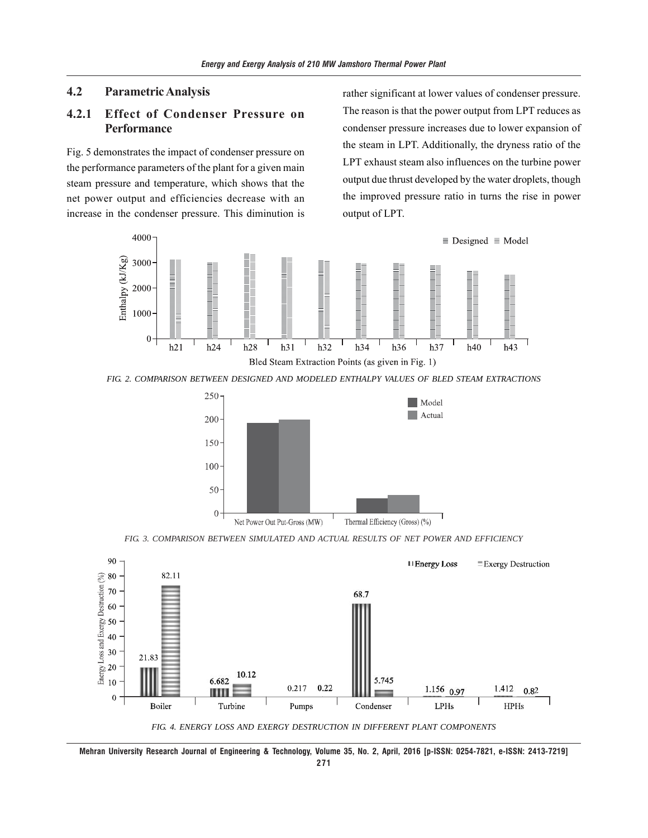#### **4.2 Parametric Analysis**

## **4.2.1 Effect of Condenser Pressure on Performance**

Fig. 5 demonstrates the impact of condenser pressure on the performance parameters of the plant for a given main steam pressure and temperature, which shows that the net power output and efficiencies decrease with an increase in the condenser pressure. This diminution is rather significant at lower values of condenser pressure. The reason is that the power output from LPT reduces as condenser pressure increases due to lower expansion of the steam in LPT. Additionally, the dryness ratio of the LPT exhaust steam also influences on the turbine power output due thrust developed by the water droplets, though the improved pressure ratio in turns the rise in power output of LPT.



*FIG. 2. COMPARISON BETWEEN DESIGNED AND MODELED ENTHALPY VALUES OF BLED STEAM EXTRACTIONS*



*FIG. 3. COMPARISON BETWEEN SIMULATED AND ACTUAL RESULTS OF NET POWER AND EFFICIENCY*



**Mehran University Research Journal of Engineering & Technology, Volume 35, No. 2, April, 2016 [p-ISSN: 0254-7821, e-ISSN: 2413-7219]**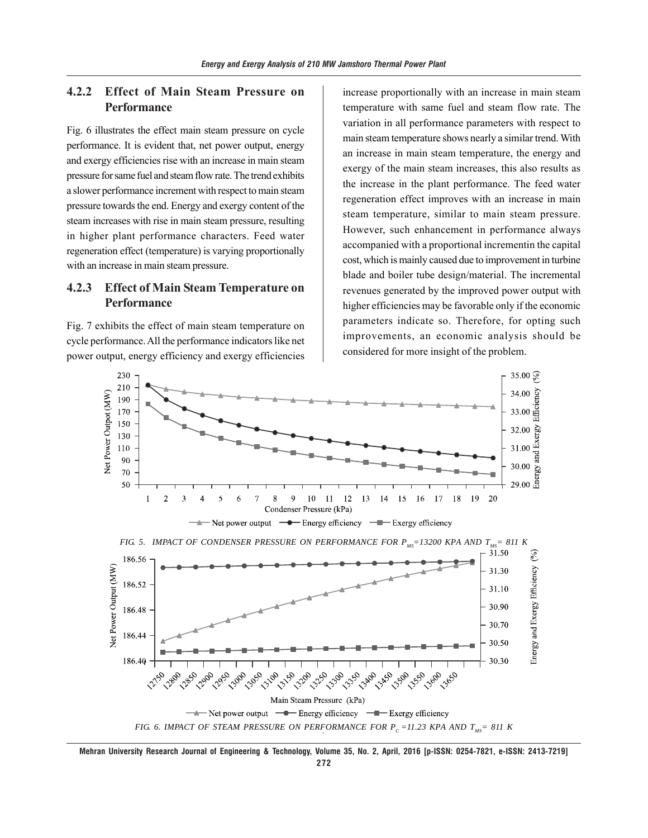## **4.2.2 Effect of Main Steam Pressure on Performance**

Fig. 6 illustrates the effect main steam pressure on cycle performance. It is evident that, net power output, energy and exergy efficiencies rise with an increase in main steam pressure for same fuel and steam flow rate. The trend exhibits a slower performance increment with respect to main steam pressure towards the end. Energy and exergy content of the steam increases with rise in main steam pressure, resulting in higher plant performance characters. Feed water regeneration effect (temperature) is varying proportionally with an increase in main steam pressure.

## **4.2.3 Effect of Main Steam Temperature on Performance**

Fig. 7 exhibits the effect of main steam temperature on cycle performance. All the performance indicators like net power output, energy efficiency and exergy efficiencies

increase proportionally with an increase in main steam temperature with same fuel and steam flow rate. The variation in all performance parameters with respect to main steam temperature shows nearly a similar trend. With an increase in main steam temperature, the energy and exergy of the main steam increases, this also results as the increase in the plant performance. The feed water regeneration effect improves with an increase in main steam temperature, similar to main steam pressure. However, such enhancement in performance always accompanied with a proportional incrementin the capital cost, which is mainly caused due to improvement in turbine blade and boiler tube design/material. The incremental revenues generated by the improved power output with higher efficiencies may be favorable only if the economic parameters indicate so. Therefore, for opting such improvements, an economic analysis should be considered for more insight of the problem.



**Mehran University Research Journal of Engineering & Technology, Volume 35, No. 2, April, 2016 [p-ISSN: 0254-7821, e-ISSN: 2413-7219] 272**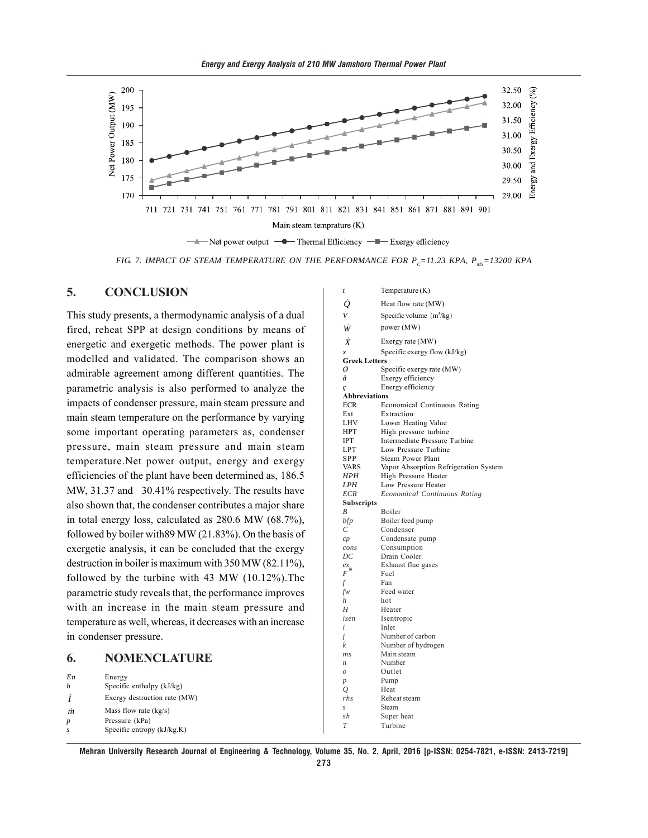



*FIG. 7. IMPACT OF STEAM TEMPERATURE ON THE PERFORMANCE FOR*  $P_c=11.23$  *KPA,*  $P_{MS}=13200$  *KPA* 

#### **5. CONCLUSION**

This study presents, a thermodynamic analysis of a dual fired, reheat SPP at design conditions by means of energetic and exergetic methods. The power plant is modelled and validated. The comparison shows an admirable agreement among different quantities. The parametric analysis is also performed to analyze the impacts of condenser pressure, main steam pressure and main steam temperature on the performance by varying some important operating parameters as, condenser pressure, main steam pressure and main steam temperature.Net power output, energy and exergy efficiencies of the plant have been determined as, 186.5 MW, 31.37 and 30.41% respectively. The results have also shown that, the condenser contributes a major share in total energy loss, calculated as 280.6 MW (68.7%), followed by boiler with89 MW (21.83%). On the basis of exergetic analysis, it can be concluded that the exergy destruction in boiler is maximum with 350 MW (82.11%), followed by the turbine with 43 MW (10.12%).The parametric study reveals that, the performance improves with an increase in the main steam pressure and temperature as well, whereas, it decreases with an increase in condenser pressure.

#### **6. NOMENCLATURE**

| En               | Energy                       |  |
|------------------|------------------------------|--|
|                  | Specific enthalpy $(kJ/kg)$  |  |
|                  | Exergy destruction rate (MW) |  |
| $\boldsymbol{m}$ | Mass flow rate $(kg/s)$      |  |
|                  | Pressure (kPa)               |  |
| s                | Specific entropy $(kJ/kg.K)$ |  |

| t                    | Temperature (K)                       |
|----------------------|---------------------------------------|
| $\dot{\varrho}$      | Heat flow rate (MW)                   |
| $\bar{V}$            | Specific volume $(m^3/kg)$            |
|                      |                                       |
| Ŵ                    | power (MW)                            |
| $\dot{X}$            | Exergy rate (MW)                      |
| $\boldsymbol{x}$     | Specific exergy flow $(kJ/kg)$        |
| <b>Greek Letters</b> |                                       |
| Ø                    | Specific exergy rate (MW)             |
| å                    | Exergy efficiency                     |
| ç                    | Energy efficiency                     |
| <b>Abbreviations</b> |                                       |
| ECR                  | <b>Economical Continuous Rating</b>   |
| Ext                  | Extraction                            |
| LHV                  | Lower Heating Value                   |
| HPT                  | High pressure turbine                 |
| <b>IPT</b>           | Intermediate Pressure Turbine         |
| LPT                  | Low Pressure Turbine                  |
| SPP                  | Steam Power Plant                     |
| VARS                 | Vapor Absorption Refrigeration System |
| HPH                  | High Pressure Heater                  |
| LPH                  | Low Pressure Heater                   |
| <b>ECR</b>           | Economical Continuous Rating          |
| <b>Subscripts</b>    |                                       |
| $\boldsymbol{B}$     | Boiler                                |
| bfp                  | Boiler feed pump                      |
| С                    | Condenser                             |
| cp                   | Condensate pump                       |
| cons                 | Consumption                           |
| DC                   | Drain Cooler                          |
| $ex_{fg}$            | Exhaust flue gases                    |
| $\overline{F}$       | Fuel                                  |
| f                    | Fan                                   |
| fw                   | Feed water                            |
| $\boldsymbol{h}$     | hot                                   |
| H                    | Heater                                |
| isen                 | Isentropic                            |
| i                    | Inlet                                 |
| j                    | Number of carbon                      |
| k                    | Number of hydrogen                    |
| ms                   | Main steam                            |
| $\boldsymbol{n}$     | Number                                |
| $\mathcal{O}$        | Outlet                                |
| $\boldsymbol{p}$     | Pump                                  |
| 0                    | Heat                                  |
| rhs                  | Reheat steam                          |
| $\mathcal{S}$        | Steam                                 |
| sh                   | Super heat                            |
| T                    | Turbine                               |